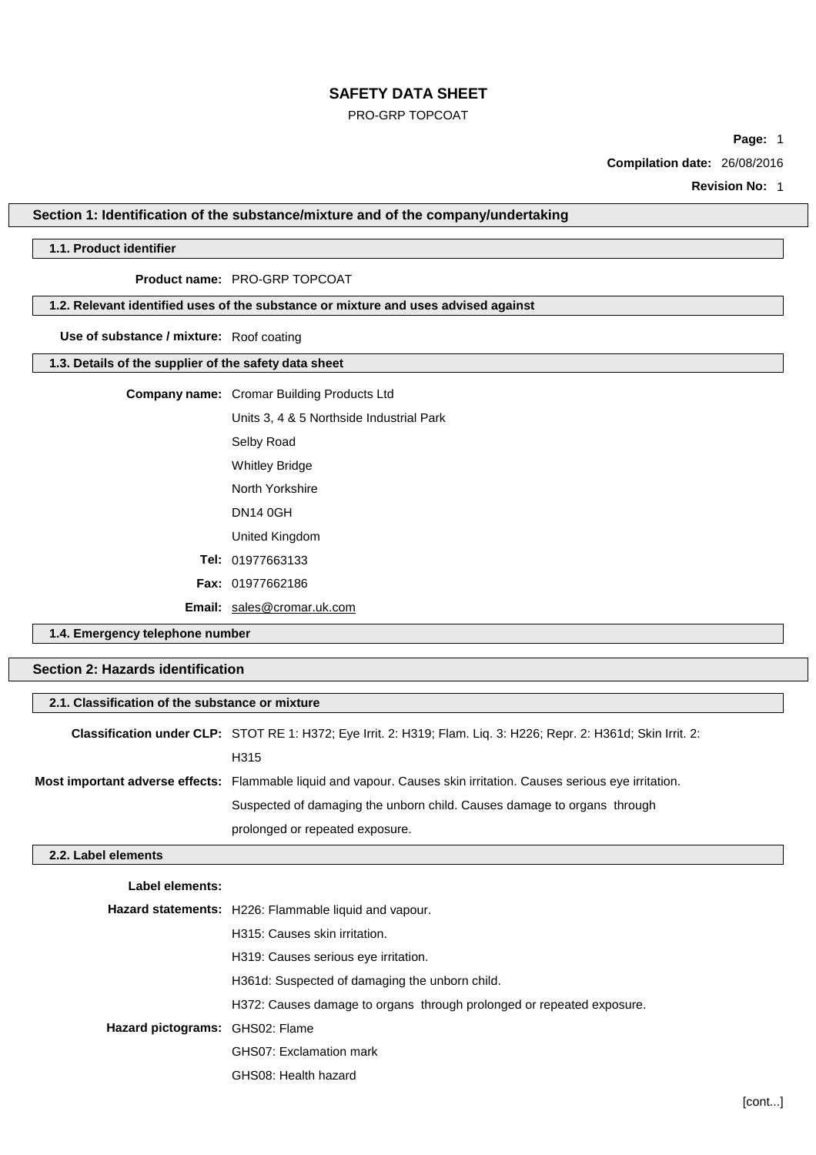# PRO-GRP TOPCOAT

**Page:** 1

**Compilation date:** 26/08/2016

**Revision No:** 1

## **Section 1: Identification of the substance/mixture and of the company/undertaking**

# **1.1. Product identifier**

# **Product name:** PRO-GRP TOPCOAT

## **1.2. Relevant identified uses of the substance or mixture and uses advised against**

**Use of substance / mixture:** Roof coating

## **1.3. Details of the supplier of the safety data sheet**

## **Company name:** Cromar Building Products Ltd

Units 3, 4 & 5 Northside Industrial Park Selby Road Whitley Bridge North Yorkshire DN14 0GH United Kingdom **Tel:** 01977663133

**Fax:** 01977662186

**Email:** [sales@cromar.uk.com](mailto:sales@cromar.uk.com)

GHS08: Health hazard

**1.4. Emergency telephone number**

# **Section 2: Hazards identification**

| 2.1. Classification of the substance or mixture |                                                                                                                            |  |
|-------------------------------------------------|----------------------------------------------------------------------------------------------------------------------------|--|
|                                                 | Classification under CLP: STOT RE 1: H372; Eye Irrit. 2: H319; Flam. Liq. 3: H226; Repr. 2: H361d; Skin Irrit. 2:          |  |
|                                                 | H315                                                                                                                       |  |
|                                                 | <b>Most important adverse effects:</b> Flammable liquid and vapour. Causes skin irritation. Causes serious eye irritation. |  |
|                                                 | Suspected of damaging the unborn child. Causes damage to organs through                                                    |  |
|                                                 | prolonged or repeated exposure.                                                                                            |  |
| 2.2. Label elements                             |                                                                                                                            |  |
| Label elements:                                 |                                                                                                                            |  |
|                                                 | <b>Hazard statements:</b> H226: Flammable liquid and vapour.                                                               |  |
|                                                 | H315: Causes skin irritation.                                                                                              |  |
|                                                 | H319: Causes serious eye irritation.                                                                                       |  |
|                                                 | H361d: Suspected of damaging the unborn child.                                                                             |  |
|                                                 | H372: Causes damage to organs through prolonged or repeated exposure.                                                      |  |
| Hazard pictograms: GHS02: Flame                 |                                                                                                                            |  |
|                                                 | GHS07: Exclamation mark                                                                                                    |  |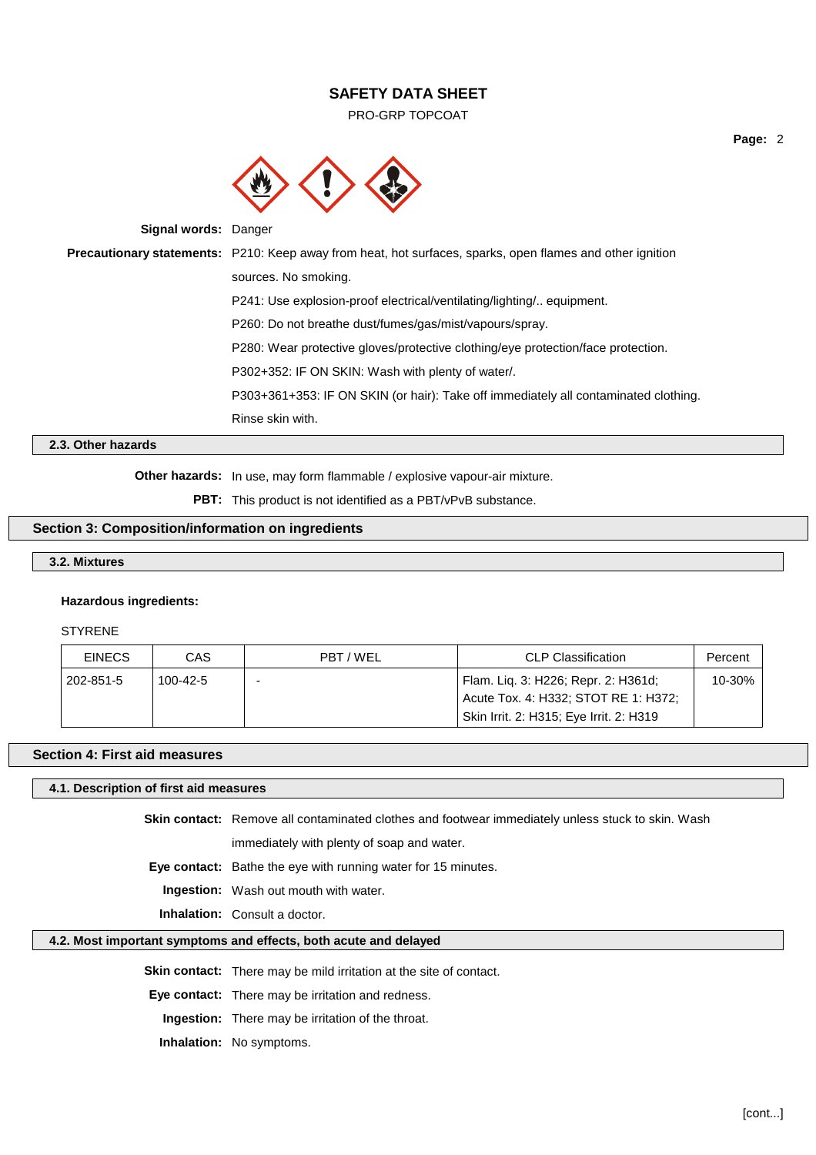PRO-GRP TOPCOAT



**Signal words:** Danger

**Precautionary statements:** P210: Keep away from heat, hot surfaces, sparks, open flames and other ignition sources. No smoking. P241: Use explosion-proof electrical/ventilating/lighting/.. equipment. P260: Do not breathe dust/fumes/gas/mist/vapours/spray. P280: Wear protective gloves/protective clothing/eye protection/face protection. P302+352: IF ON SKIN: Wash with plenty of water/. P303+361+353: IF ON SKIN (or hair): Take off immediately all contaminated clothing. Rinse skin with.

# **2.3. Other hazards**

**Other hazards:** In use, may form flammable / explosive vapour-air mixture.

**PBT:** This product is not identified as a PBT/vPvB substance.

# **Section 3: Composition/information on ingredients**

## **3.2. Mixtures**

#### **Hazardous ingredients:**

#### STYRENE

| <b>EINECS</b> | CAS      | PBT / WEL | <b>CLP Classification</b>                                                   | Percent |
|---------------|----------|-----------|-----------------------------------------------------------------------------|---------|
| 202-851-5     | 100-42-5 |           | Flam. Lig. 3: H226; Repr. 2: H361d;<br>Acute Tox. 4: H332; STOT RE 1: H372; | 10-30%  |
|               |          |           | Skin Irrit. 2: H315; Eye Irrit. 2: H319                                     |         |

#### **Section 4: First aid measures**

#### **4.1. Description of first aid measures**

**Skin contact:** Remove all contaminated clothes and footwear immediately unless stuck to skin. Wash immediately with plenty of soap and water.

**Eye contact:** Bathe the eye with running water for 15 minutes.

**Ingestion:** Wash out mouth with water.

**Inhalation:** Consult a doctor.

## **4.2. Most important symptoms and effects, both acute and delayed**

**Skin contact:** There may be mild irritation at the site of contact.

**Eye contact:** There may be irritation and redness.

**Ingestion:** There may be irritation of the throat.

**Inhalation:** No symptoms.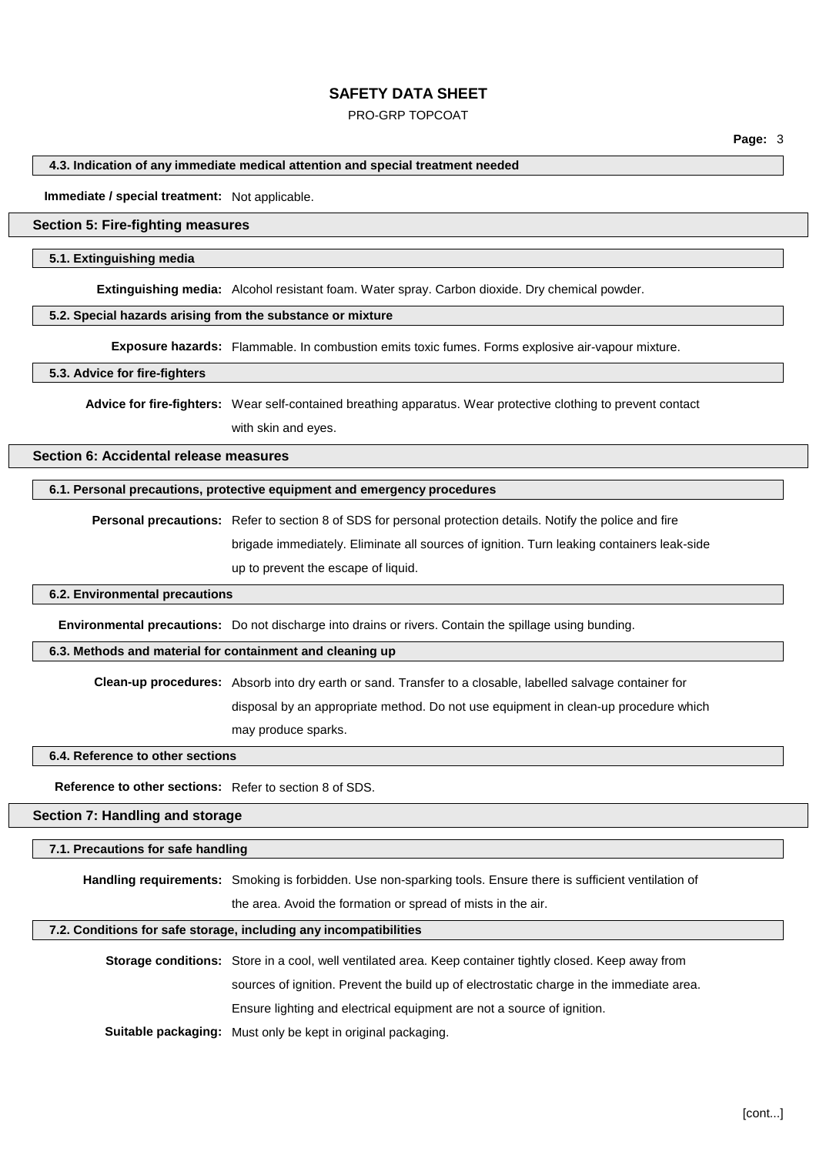#### PRO-GRP TOPCOAT

**Page:** 3

#### **4.3. Indication of any immediate medical attention and special treatment needed**

**Immediate / special treatment:** Not applicable.

## **Section 5: Fire-fighting measures**

#### **5.1. Extinguishing media**

**Extinguishing media:** Alcohol resistant foam. Water spray. Carbon dioxide. Dry chemical powder.

#### **5.2. Special hazards arising from the substance or mixture**

**Exposure hazards:** Flammable. In combustion emits toxic fumes. Forms explosive air-vapour mixture.

#### **5.3. Advice for fire-fighters**

**Advice for fire-fighters:** Wear self-contained breathing apparatus. Wear protective clothing to prevent contact with skin and eyes.

# **Section 6: Accidental release measures**

## **6.1. Personal precautions, protective equipment and emergency procedures**

**Personal precautions:** Refer to section 8 of SDS for personal protection details. Notify the police and fire brigade immediately. Eliminate all sources of ignition. Turn leaking containers leak-side up to prevent the escape of liquid.

#### **6.2. Environmental precautions**

**Environmental precautions:** Do not discharge into drains or rivers. Contain the spillage using bunding.

## **6.3. Methods and material for containment and cleaning up**

**Clean-up procedures:** Absorb into dry earth or sand. Transfer to a closable, labelled salvage container for

disposal by an appropriate method. Do not use equipment in clean-up procedure which

may produce sparks.

## **6.4. Reference to other sections**

**Reference to other sections:** Refer to section 8 of SDS.

#### **Section 7: Handling and storage**

#### **7.1. Precautions for safe handling**

**Handling requirements:** Smoking is forbidden. Use non-sparking tools. Ensure there is sufficient ventilation of

the area. Avoid the formation or spread of mists in the air.

#### **7.2. Conditions for safe storage, including any incompatibilities**

**Storage conditions:** Store in a cool, well ventilated area. Keep container tightly closed. Keep away from sources of ignition. Prevent the build up of electrostatic charge in the immediate area. Ensure lighting and electrical equipment are not a source of ignition.

**Suitable packaging:** Must only be kept in original packaging.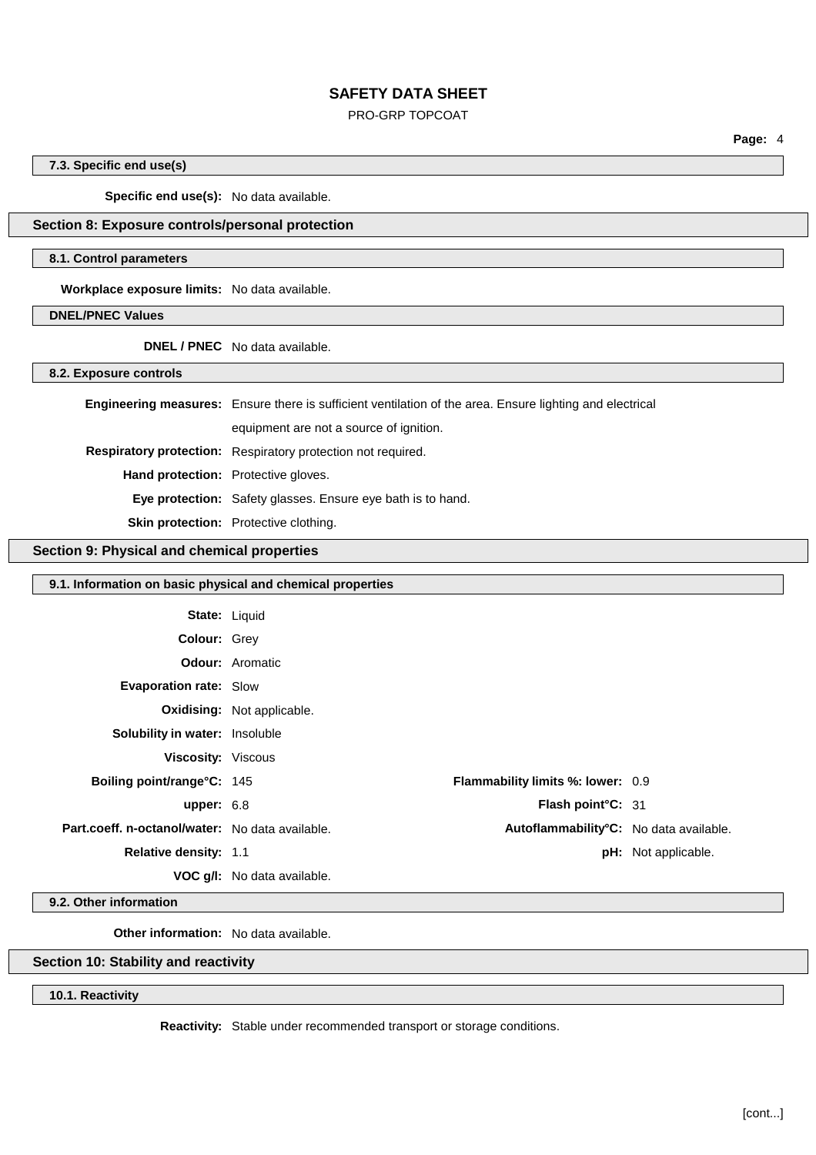## PRO-GRP TOPCOAT

**7.3. Specific end use(s)**

**Specific end use(s):** No data available.

# **Section 8: Exposure controls/personal protection**

## **8.1. Control parameters**

**Workplace exposure limits:** No data available.

**DNEL/PNEC Values**

**DNEL / PNEC** No data available.

**8.2. Exposure controls**

|                                            | <b>Engineering measures:</b> Ensure there is sufficient ventilation of the area. Ensure lighting and electrical |  |
|--------------------------------------------|-----------------------------------------------------------------------------------------------------------------|--|
|                                            | equipment are not a source of ignition.                                                                         |  |
|                                            | Respiratory protection: Respiratory protection not required.                                                    |  |
| <b>Hand protection:</b> Protective gloves. |                                                                                                                 |  |
|                                            | <b>Eye protection:</b> Safety glasses. Ensure eye bath is to hand.                                              |  |
|                                            | <b>Skin protection:</b> Protective clothing.                                                                    |  |

## **Section 9: Physical and chemical properties**

| 9.1. Information on basic physical and chemical properties |                                   |                                          |                            |
|------------------------------------------------------------|-----------------------------------|------------------------------------------|----------------------------|
| <b>State: Liquid</b>                                       |                                   |                                          |                            |
| Colour: Grey                                               |                                   |                                          |                            |
|                                                            | <b>Odour:</b> Aromatic            |                                          |                            |
| Evaporation rate: Slow                                     |                                   |                                          |                            |
|                                                            | <b>Oxidising:</b> Not applicable. |                                          |                            |
| Solubility in water: Insoluble                             |                                   |                                          |                            |
| <b>Viscosity: Viscous</b>                                  |                                   |                                          |                            |
| Boiling point/range°C: 145                                 |                                   | <b>Flammability limits %: lower: 0.9</b> |                            |
| upper: $6.8$                                               |                                   | Flash point°C: 31                        |                            |
| Part.coeff. n-octanol/water: No data available.            |                                   | Autoflammability°C: No data available.   |                            |
| Relative density: 1.1                                      |                                   |                                          | <b>pH:</b> Not applicable. |
|                                                            | VOC g/I: No data available.       |                                          |                            |

**9.2. Other information**

**Other information:** No data available.

# **Section 10: Stability and reactivity**

**10.1. Reactivity**

**Reactivity:** Stable under recommended transport or storage conditions.

**Page:** 4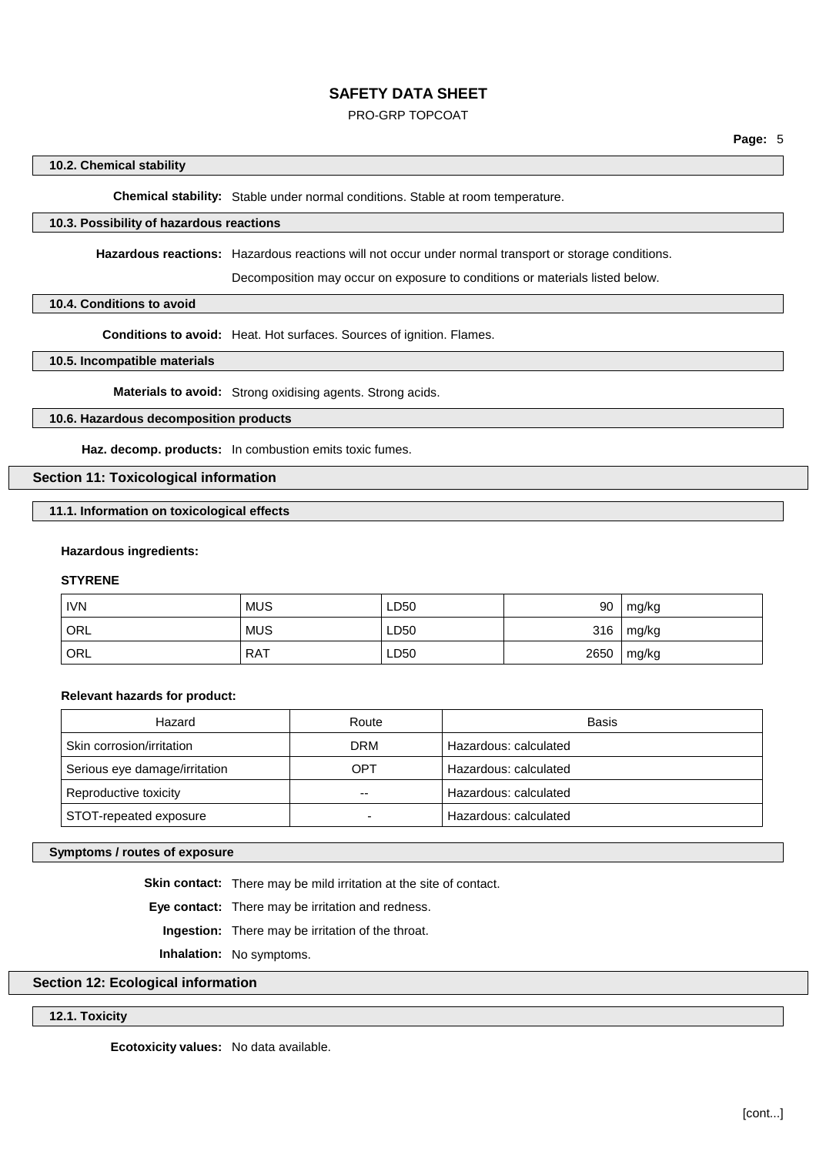#### PRO-GRP TOPCOAT

#### **10.2. Chemical stability**

**Chemical stability:** Stable under normal conditions. Stable at room temperature.

# **10.3. Possibility of hazardous reactions**

**Hazardous reactions:** Hazardous reactions will not occur under normal transport or storage conditions.

Decomposition may occur on exposure to conditions or materials listed below.

#### **10.4. Conditions to avoid**

**Conditions to avoid:** Heat. Hot surfaces. Sources of ignition. Flames.

## **10.5. Incompatible materials**

**Materials to avoid:** Strong oxidising agents. Strong acids.

## **10.6. Hazardous decomposition products**

**Haz. decomp. products:** In combustion emits toxic fumes.

# **Section 11: Toxicological information**

**11.1. Information on toxicological effects**

#### **Hazardous ingredients:**

## **STYRENE**

| <b>IVN</b> | <b>MUS</b> | LD50 | 90   | mg/kg |
|------------|------------|------|------|-------|
| `ORL       | <b>MUS</b> | LD50 | 316  | mg/kg |
| ORL        | <b>RAT</b> | LD50 | 2650 | mg/kg |

#### **Relevant hazards for product:**

| Hazard                        | Route | Basis                 |
|-------------------------------|-------|-----------------------|
| Skin corrosion/irritation     | DRM   | Hazardous: calculated |
| Serious eye damage/irritation | OPT   | Hazardous: calculated |
| Reproductive toxicity         | --    | Hazardous: calculated |
| STOT-repeated exposure        |       | Hazardous: calculated |

## **Symptoms / routes of exposure**

**Skin contact:** There may be mild irritation at the site of contact.

**Eye contact:** There may be irritation and redness.

**Ingestion:** There may be irritation of the throat.

**Inhalation:** No symptoms.

# **Section 12: Ecological information**

## **12.1. Toxicity**

**Ecotoxicity values:** No data available.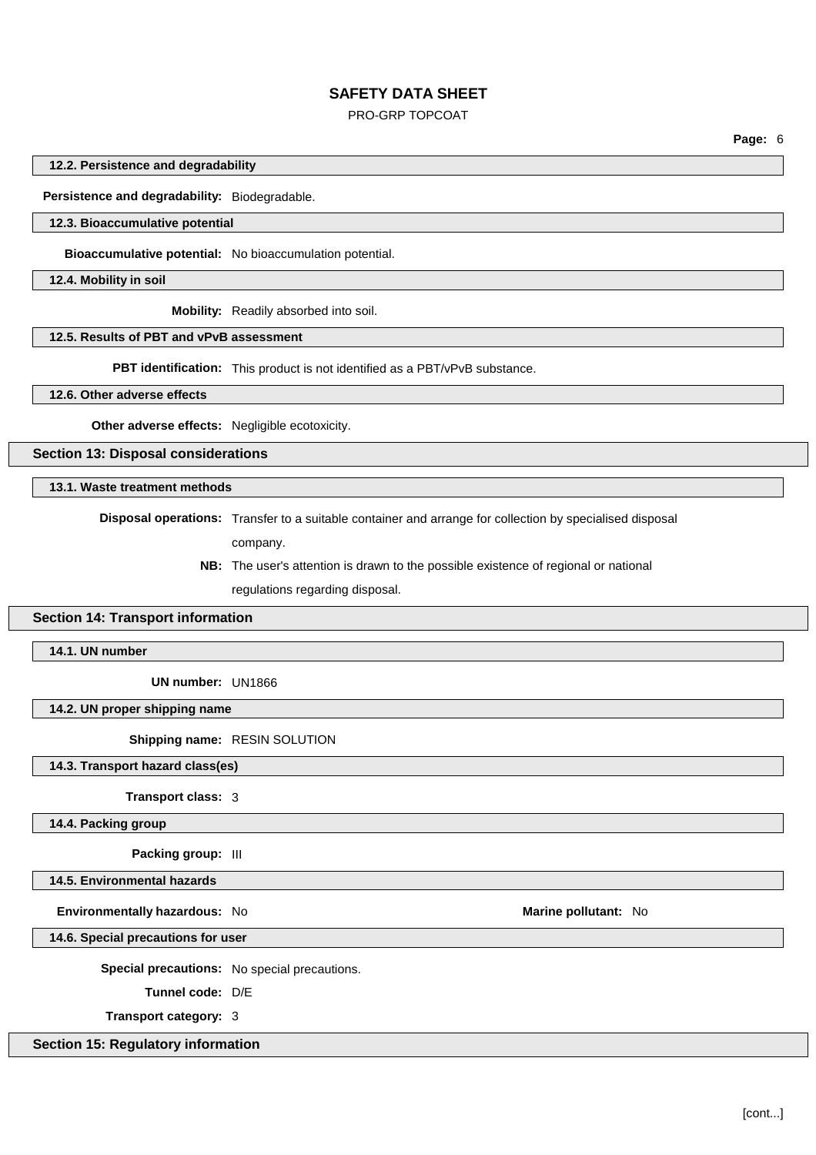## PRO-GRP TOPCOAT

**Page:** 6

#### **12.2. Persistence and degradability**

**Persistence and degradability:** Biodegradable.

#### **12.3. Bioaccumulative potential**

**Bioaccumulative potential:** No bioaccumulation potential.

**12.4. Mobility in soil**

**Mobility:** Readily absorbed into soil.

# **12.5. Results of PBT and vPvB assessment**

**PBT identification:** This product is not identified as a PBT/vPvB substance.

#### **12.6. Other adverse effects**

**Other adverse effects:** Negligible ecotoxicity.

## **Section 13: Disposal considerations**

# **13.1. Waste treatment methods**

**Disposal operations:** Transfer to a suitable container and arrange for collection by specialised disposal

- company.
- **NB:** The user's attention is drawn to the possible existence of regional or national regulations regarding disposal.

## **Section 14: Transport information**

**14.1. UN number**

**UN number:** UN1866

#### **14.2. UN proper shipping name**

**Shipping name:** RESIN SOLUTION

**14.3. Transport hazard class(es)**

**Transport class:** 3

**14.4. Packing group**

**Packing group:** III

#### **14.5. Environmental hazards**

**Environmentally hazardous:** No **Marine Marine Marine Marine Marine Marine Marine Marine Marine Marine** 

**14.6. Special precautions for user**

**Special precautions:** No special precautions.

**Tunnel code:** D/E

**Transport category:** 3

## **Section 15: Regulatory information**